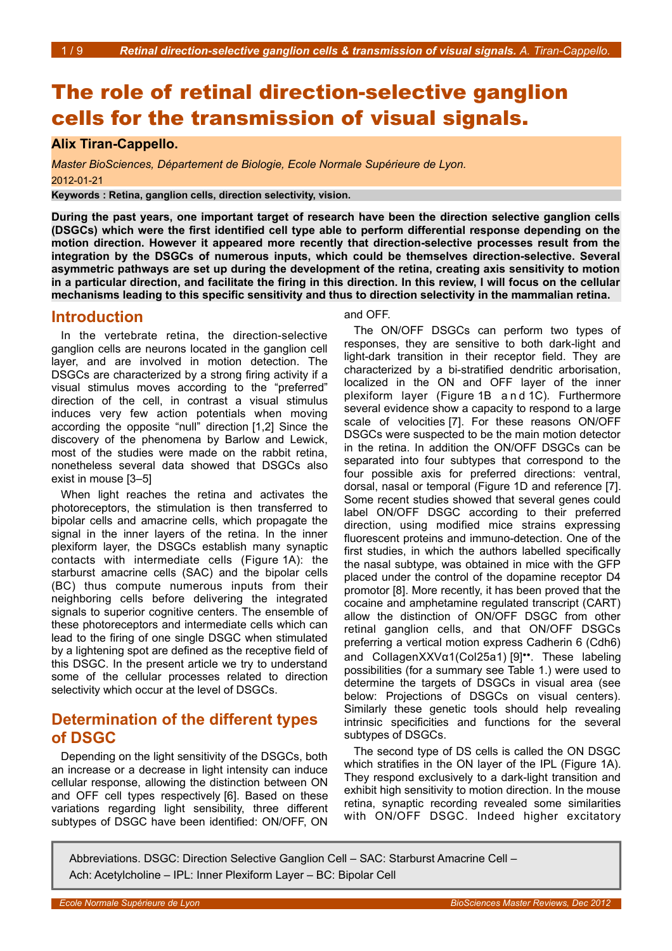# The role of retinal direction-selective ganglion cells for the transmission of visual signals.

### **Alix Tiran-Cappello.**

*Master BioSciences, Département de Biologie, Ecole Normale Supérieure de Lyon.* 2012-01-21

**Keywords : Retina, ganglion cells, direction selectivity, vision.**

**During the past years, one important target of research have been the direction selective ganglion cells (DSGCs) which were the first identified cell type able to perform differential response depending on the motion direction. However it appeared more recently that direction-selective processes result from the integration by the DSGCs of numerous inputs, which could be themselves direction-selective. Several asymmetric pathways are set up during the development of the retina, creating axis sensitivity to motion in a particular direction, and facilitate the firing in this direction. In this review, I will focus on the cellular mechanisms leading to this specific sensitivity and thus to direction selectivity in the mammalian retina.**

### **Introduction**

In the vertebrate retina, the direction-selective ganglion cells are neurons located in the ganglion cell layer, and are involved in motion detection. The DSGCs are characterized by a strong firing activity if a visual stimulus moves according to the "preferred" direction of the cell, in contrast a visual stimulus induces very few action potentials when moving according the opposite "null" direction [1,2] Since the discovery of the phenomena by Barlow and Lewick, most of the studies were made on the rabbit retina, nonetheless several data showed that DSGCs also exist in mouse [3–5]

When light reaches the retina and activates the photoreceptors, the stimulation is then transferred to bipolar cells and amacrine cells, which propagate the signal in the inner layers of the retina. In the inner plexiform layer, the DSGCs establish many synaptic contacts with intermediate cells (Figure [1A](#page-1-0)): the starburst amacrine cells (SAC) and the bipolar cells (BC) thus compute numerous inputs from their neighboring cells before delivering the integrated signals to superior cognitive centers. The ensemble of these photoreceptors and intermediate cells which can lead to the firing of one single DSGC when stimulated by a lightening spot are defined as the receptive field of this DSGC. In the present article we try to understand some of the cellular processes related to direction selectivity which occur at the level of DSGCs.

### **Determination of the different types of DSGC**

Depending on the light sensitivity of the DSGCs, both an increase or a decrease in light intensity can induce cellular response, allowing the distinction between ON and OFF cell types respectively [6]. Based on these variations regarding light sensibility, three different subtypes of DSGC have been identified: ON/OFF, ON

#### and OFF.

The ON/OFF DSGCs can perform two types of responses, they are sensitive to both dark-light and light-dark transition in their receptor field. They are characterized by a bi-stratified dendritic arborisation, localized in the ON and OFF layer of the inner plexiform layer (Figure [1B](#page-1-0) a nd [1C](#page-1-0)). Furthermore several evidence show a capacity to respond to a large scale of velocities [7]. For these reasons ON/OFF DSGCs were suspected to be the main motion detector in the retina. In addition the ON/OFF DSGCs can be separated into four subtypes that correspond to the four possible axis for preferred directions: ventral, dorsal, nasal or temporal (Figure [1D](#page-1-0) and reference [7]. Some recent studies showed that several genes could label ON/OFF DSGC according to their preferred direction, using modified mice strains expressing fluorescent proteins and immuno-detection. One of the first studies, in which the authors labelled specifically the nasal subtype, was obtained in mice with the GFP placed under the control of the dopamine receptor D4 promotor [8]. More recently, it has been proved that the cocaine and amphetamine regulated transcript (CART) allow the distinction of ON/OFF DSGC from other retinal ganglion cells, and that ON/OFF DSGCs preferring a vertical motion express Cadherin 6 (Cdh6) and CollagenXXVα1(Col25a1) [9]••. These labeling possibilities (for a summary see Table 1.) were used to determine the targets of DSGCs in visual area (see below: Projections of DSGCs on visual centers). Similarly these genetic tools should help revealing intrinsic specificities and functions for the several subtypes of DSGCs.

The second type of DS cells is called the ON DSGC which stratifies in the ON laver of the IPL (Figure [1A](#page-1-0)). They respond exclusively to a dark-light transition and exhibit high sensitivity to motion direction. In the mouse retina, synaptic recording revealed some similarities with ON/OFF DSGC. Indeed higher excitatory

Abbreviations. DSGC: Direction Selective Ganglion Cell – SAC: Starburst Amacrine Cell – Ach: Acetylcholine – IPL: Inner Plexiform Layer – BC: Bipolar Cell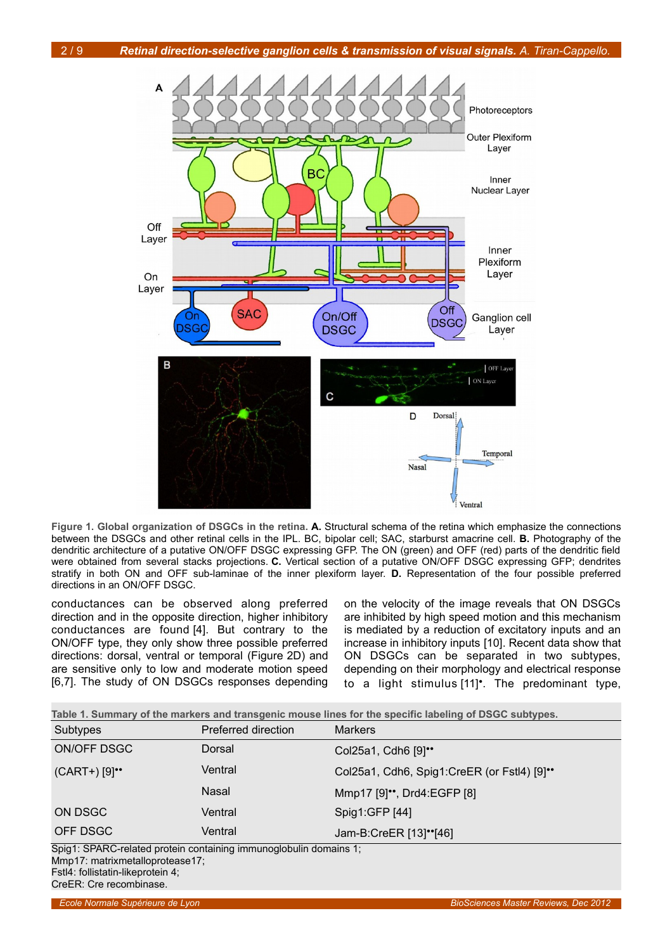

<span id="page-1-0"></span>**Figure 1. Global organization of DSGCs in the retina. A.** Structural schema of the retina which emphasize the connections between the DSGCs and other retinal cells in the IPL. BC, bipolar cell; SAC, starburst amacrine cell. **B.** Photography of the dendritic architecture of a putative ON/OFF DSGC expressing GFP. The ON (green) and OFF (red) parts of the dendritic field were obtained from several stacks projections. **C.** Vertical section of a putative ON/OFF DSGC expressing GFP; dendrites stratify in both ON and OFF sub-laminae of the inner plexiform layer. **D.** Representation of the four possible preferred directions in an ON/OFF DSGC.

conductances can be observed along preferred direction and in the opposite direction, higher inhibitory conductances are found [4]. But contrary to the ON/OFF type, they only show three possible preferred directions: dorsal, ventral or temporal (Figure [2D](#page-2-0)) and are sensitive only to low and moderate motion speed [6,7]. The study of ON DSGCs responses depending

on the velocity of the image reveals that ON DSGCs are inhibited by high speed motion and this mechanism is mediated by a reduction of excitatory inputs and an increase in inhibitory inputs [10]. Recent data show that ON DSGCs can be separated in two subtypes, depending on their morphology and electrical response to a light stimulus [11]•. The predominant type,

| Table 1. Summary of the markers and transgenic mouse lines for the specific labeling of DSGC subtypes. |                     |                     |  |
|--------------------------------------------------------------------------------------------------------|---------------------|---------------------|--|
| Subtypes                                                                                               | Preferred direction | <b>Markers</b>      |  |
| ON/OFF DSGC                                                                                            | Dorsal              | Col25a1, Cdh6 [9]** |  |

| $(CART+)$ [9] $\cdot$ | Ventral | Col25a1, Cdh6, Spig1:CreER (or Fstl4) [9]" |
|-----------------------|---------|--------------------------------------------|
|                       | Nasal   | Mmp17 [9] <sup>**</sup> , Drd4:EGFP [8]    |
| ON DSGC               | Ventral | Spig1:GFP [44]                             |
| OFF DSGC              | Ventral | Jam-B:CreER [13]"[46]                      |

Spig1: SPARC-related protein containing immunoglobulin domains 1; Mmp17: matrixmetalloprotease17; Fstl4: follistatin-likeprotein 4;

CreER: Cre recombinase.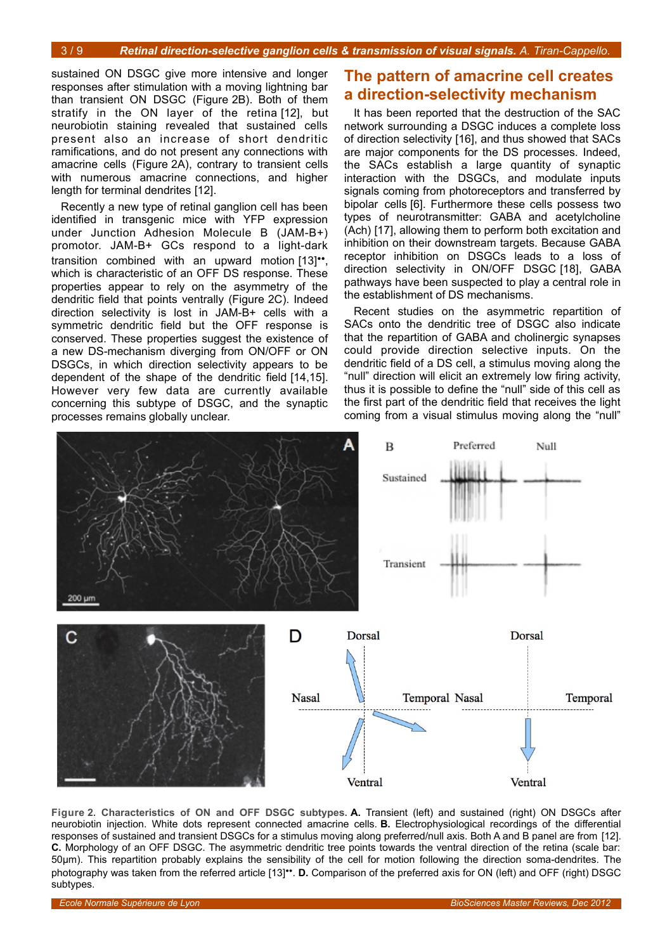sustained ON DSGC give more intensive and longer responses after stimulation with a moving lightning bar than transient ON DSGC (Figure [2B](#page-2-0)). Both of them stratify in the ON layer of the retina [12], but neurobiotin staining revealed that sustained cells present also an increase of short dendritic ramifications, and do not present any connections with amacrine cells (Figure [2A](#page-2-0)), contrary to transient cells with numerous amacrine connections, and higher length for terminal dendrites [12].

Recently a new type of retinal ganglion cell has been identified in transgenic mice with YFP expression under Junction Adhesion Molecule B (JAM-B+) promotor. JAM-B+ GCs respond to a light-dark transition combined with an upward motion [13]••, which is characteristic of an OFF DS response. These properties appear to rely on the asymmetry of the dendritic field that points ventrally (Figure [2C](#page-2-0)). Indeed direction selectivity is lost in JAM-B+ cells with a symmetric dendritic field but the OFF response is conserved. These properties suggest the existence of a new DS-mechanism diverging from ON/OFF or ON DSGCs, in which direction selectivity appears to be dependent of the shape of the dendritic field [14,15]. However very few data are currently available concerning this subtype of DSGC, and the synaptic processes remains globally unclear.

## **The pattern of amacrine cell creates a direction-selectivity mechanism**

It has been reported that the destruction of the SAC network surrounding a DSGC induces a complete loss of direction selectivity [16], and thus showed that SACs are major components for the DS processes. Indeed, the SACs establish a large quantity of synaptic interaction with the DSGCs, and modulate inputs signals coming from photoreceptors and transferred by bipolar cells [6]. Furthermore these cells possess two types of neurotransmitter: GABA and acetylcholine (Ach) [17], allowing them to perform both excitation and inhibition on their downstream targets. Because GABA receptor inhibition on DSGCs leads to a loss of direction selectivity in ON/OFF DSGC [18], GABA pathways have been suspected to play a central role in the establishment of DS mechanisms.

Recent studies on the asymmetric repartition of SACs onto the dendritic tree of DSGC also indicate that the repartition of GABA and cholinergic synapses could provide direction selective inputs. On the dendritic field of a DS cell, a stimulus moving along the "null" direction will elicit an extremely low firing activity, thus it is possible to define the "null" side of this cell as the first part of the dendritic field that receives the light coming from a visual stimulus moving along the "null"



<span id="page-2-0"></span>**Figure 2. Characteristics of ON and OFF DSGC subtypes. A.** Transient (left) and sustained (right) ON DSGCs after neurobiotin injection. White dots represent connected amacrine cells. **B.** Electrophysiological recordings of the differential responses of sustained and transient DSGCs for a stimulus moving along preferred/null axis. Both A and B panel are from [12]. **C.** Morphology of an OFF DSGC. The asymmetric dendritic tree points towards the ventral direction of the retina (scale bar: 50μm). This repartition probably explains the sensibility of the cell for motion following the direction soma-dendrites. The photography was taken from the referred article [13]••. **D.** Comparison of the preferred axis for ON (left) and OFF (right) DSGC subtypes.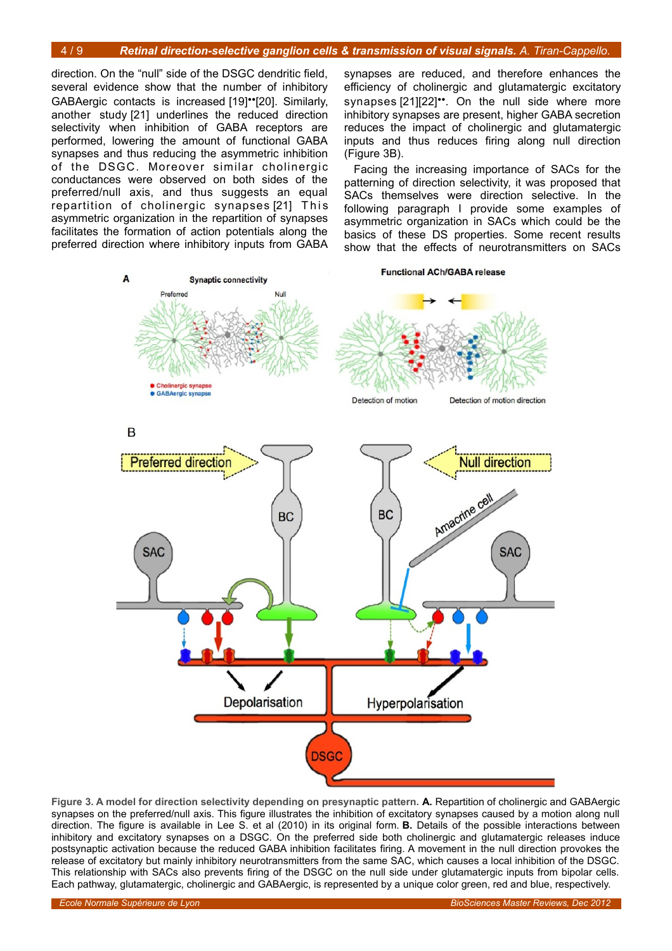direction. On the "null" side of the DSGC dendritic field, several evidence show that the number of inhibitory GABAergic contacts is increased [19]••[20]. Similarly, another study [21] underlines the reduced direction selectivity when inhibition of GABA receptors are performed, lowering the amount of functional GABA synapses and thus reducing the asymmetric inhibition of the DSGC. Moreover similar cholinergic conductances were observed on both sides of the preferred/null axis, and thus suggests an equal repartition of cholinergic synapses [21] This asymmetric organization in the repartition of synapses facilitates the formation of action potentials along the preferred direction where inhibitory inputs from GABA synapses are reduced, and therefore enhances the efficiency of cholinergic and glutamatergic excitatory synapses [21][22]<sup>\*\*</sup>. On the null side where more inhibitory synapses are present, higher GABA secretion reduces the impact of cholinergic and glutamatergic inputs and thus reduces firing along null direction (Figure [3B](#page-3-0)).

Facing the increasing importance of SACs for the patterning of direction selectivity, it was proposed that SACs themselves were direction selective. In the following paragraph I provide some examples of asymmetric organization in SACs which could be the basics of these DS properties. Some recent results show that the effects of neurotransmitters on SACs



<span id="page-3-0"></span>**Figure 3. A model for direction selectivity depending on presynaptic pattern. A.** Repartition of cholinergic and GABAergic synapses on the preferred/null axis. This figure illustrates the inhibition of excitatory synapses caused by a motion along null direction. The figure is available in Lee S. et al (2010) in its original form. **B.** Details of the possible interactions between inhibitory and excitatory synapses on a DSGC. On the preferred side both cholinergic and glutamatergic releases induce postsynaptic activation because the reduced GABA inhibition facilitates firing. A movement in the null direction provokes the release of excitatory but mainly inhibitory neurotransmitters from the same SAC, which causes a local inhibition of the DSGC. This relationship with SACs also prevents firing of the DSGC on the null side under glutamatergic inputs from bipolar cells. Each pathway, glutamatergic, cholinergic and GABAergic, is represented by a unique color green, red and blue, respectively.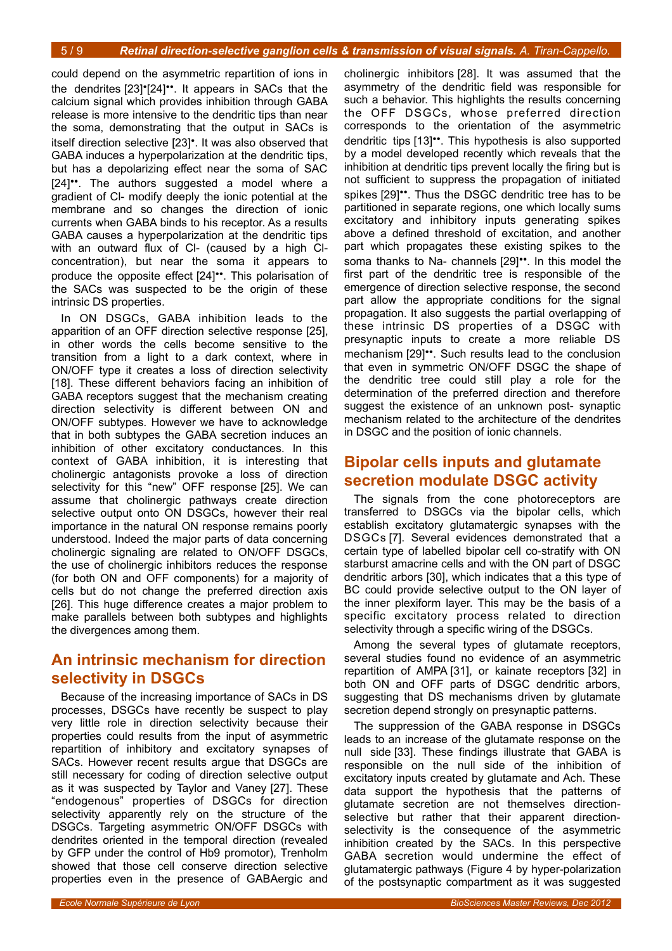could depend on the asymmetric repartition of ions in the dendrites [23]•[24]••. It appears in SACs that the calcium signal which provides inhibition through GABA release is more intensive to the dendritic tips than near the soma, demonstrating that the output in SACs is itself direction selective [23]•. It was also observed that GABA induces a hyperpolarization at the dendritic tips, but has a depolarizing effect near the soma of SAC [24]••. The authors suggested a model where a gradient of Cl- modify deeply the ionic potential at the membrane and so changes the direction of ionic currents when GABA binds to his receptor. As a results GABA causes a hyperpolarization at the dendritic tips with an outward flux of Cl- (caused by a high Clconcentration), but near the soma it appears to produce the opposite effect [24]••. This polarisation of the SACs was suspected to be the origin of these intrinsic DS properties.

In ON DSGCs, GABA inhibition leads to the apparition of an OFF direction selective response [25], in other words the cells become sensitive to the transition from a light to a dark context, where in ON/OFF type it creates a loss of direction selectivity [18]. These different behaviors facing an inhibition of GABA receptors suggest that the mechanism creating direction selectivity is different between ON and ON/OFF subtypes. However we have to acknowledge that in both subtypes the GABA secretion induces an inhibition of other excitatory conductances. In this context of GABA inhibition, it is interesting that cholinergic antagonists provoke a loss of direction selectivity for this "new" OFF response [25]. We can assume that cholinergic pathways create direction selective output onto ON DSGCs, however their real importance in the natural ON response remains poorly understood. Indeed the major parts of data concerning cholinergic signaling are related to ON/OFF DSGCs, the use of cholinergic inhibitors reduces the response (for both ON and OFF components) for a majority of cells but do not change the preferred direction axis [26]. This huge difference creates a major problem to make parallels between both subtypes and highlights the divergences among them.

### **An intrinsic mechanism for direction selectivity in DSGCs**

Because of the increasing importance of SACs in DS processes, DSGCs have recently be suspect to play very little role in direction selectivity because their properties could results from the input of asymmetric repartition of inhibitory and excitatory synapses of SACs. However recent results argue that DSGCs are still necessary for coding of direction selective output as it was suspected by Taylor and Vaney [27]. These "endogenous" properties of DSGCs for direction selectivity apparently rely on the structure of the DSGCs. Targeting asymmetric ON/OFF DSGCs with dendrites oriented in the temporal direction (revealed by GFP under the control of Hb9 promotor), Trenholm showed that those cell conserve direction selective properties even in the presence of GABAergic and

cholinergic inhibitors [28]. It was assumed that the asymmetry of the dendritic field was responsible for such a behavior. This highlights the results concerning the OFF DSGCs, whose preferred direction corresponds to the orientation of the asymmetric dendritic tips [13]••. This hypothesis is also supported by a model developed recently which reveals that the inhibition at dendritic tips prevent locally the firing but is not sufficient to suppress the propagation of initiated spikes [29]••. Thus the DSGC dendritic tree has to be partitioned in separate regions, one which locally sums excitatory and inhibitory inputs generating spikes above a defined threshold of excitation, and another part which propagates these existing spikes to the soma thanks to Na- channels [29]<sup>\*\*</sup>. In this model the first part of the dendritic tree is responsible of the emergence of direction selective response, the second part allow the appropriate conditions for the signal propagation. It also suggests the partial overlapping of these intrinsic DS properties of a DSGC with presynaptic inputs to create a more reliable DS mechanism [29]••. Such results lead to the conclusion that even in symmetric ON/OFF DSGC the shape of the dendritic tree could still play a role for the determination of the preferred direction and therefore suggest the existence of an unknown post- synaptic mechanism related to the architecture of the dendrites in DSGC and the position of ionic channels.

# **Bipolar cells inputs and glutamate secretion modulate DSGC activity**

The signals from the cone photoreceptors are transferred to DSGCs via the bipolar cells, which establish excitatory glutamatergic synapses with the DSGCs [7]. Several evidences demonstrated that a certain type of labelled bipolar cell co-stratify with ON starburst amacrine cells and with the ON part of DSGC dendritic arbors [30], which indicates that a this type of BC could provide selective output to the ON layer of the inner plexiform layer. This may be the basis of a specific excitatory process related to direction selectivity through a specific wiring of the DSGCs.

Among the several types of glutamate receptors, several studies found no evidence of an asymmetric repartition of AMPA [31], or kainate receptors [32] in both ON and OFF parts of DSGC dendritic arbors, suggesting that DS mechanisms driven by glutamate secretion depend strongly on presynaptic patterns.

The suppression of the GABA response in DSGCs leads to an increase of the glutamate response on the null side [33]. These findings illustrate that GABA is responsible on the null side of the inhibition of excitatory inputs created by glutamate and Ach. These data support the hypothesis that the patterns of glutamate secretion are not themselves directionselective but rather that their apparent directionselectivity is the consequence of the asymmetric inhibition created by the SACs. In this perspective GABA secretion would undermine the effect of glutamatergic pathways (Figure [4](#page-5-0) by hyper-polarization of the postsynaptic compartment as it was suggested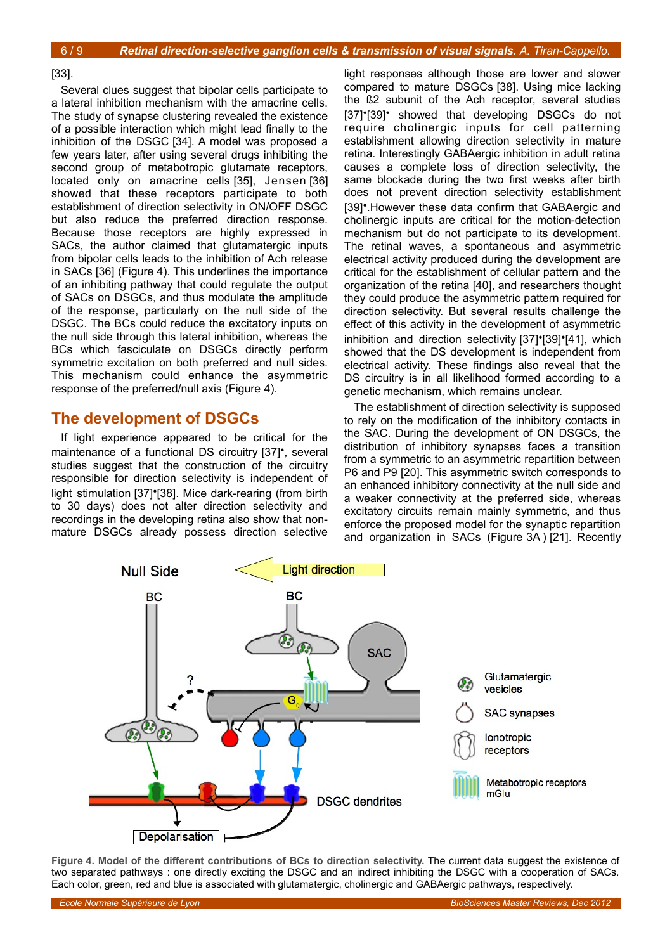#### [33].

Several clues suggest that bipolar cells participate to a lateral inhibition mechanism with the amacrine cells. The study of synapse clustering revealed the existence of a possible interaction which might lead finally to the inhibition of the DSGC [34]. A model was proposed a few years later, after using several drugs inhibiting the second group of metabotropic glutamate receptors, located only on amacrine cells [35], Jensen [36] showed that these receptors participate to both establishment of direction selectivity in ON/OFF DSGC but also reduce the preferred direction response. Because those receptors are highly expressed in SACs, the author claimed that glutamatergic inputs from bipolar cells leads to the inhibition of Ach release in SACs [36] (Figure [4\)](#page-5-0). This underlines the importance of an inhibiting pathway that could regulate the output of SACs on DSGCs, and thus modulate the amplitude of the response, particularly on the null side of the DSGC. The BCs could reduce the excitatory inputs on the null side through this lateral inhibition, whereas the BCs which fasciculate on DSGCs directly perform symmetric excitation on both preferred and null sides. This mechanism could enhance the asymmetric response of the preferred/null axis (Figure [4\)](#page-5-0).

### **The development of DSGCs**

If light experience appeared to be critical for the maintenance of a functional DS circuitry [37]•, several studies suggest that the construction of the circuitry responsible for direction selectivity is independent of light stimulation [37]•[38]. Mice dark-rearing (from birth to 30 days) does not alter direction selectivity and recordings in the developing retina also show that nonmature DSGCs already possess direction selective

light responses although those are lower and slower compared to mature DSGCs [38]. Using mice lacking the ß2 subunit of the Ach receptor, several studies [37]•[39]• showed that developing DSGCs do not require cholinergic inputs for cell patterning establishment allowing direction selectivity in mature retina. Interestingly GABAergic inhibition in adult retina causes a complete loss of direction selectivity, the same blockade during the two first weeks after birth does not prevent direction selectivity establishment [39]•.However these data confirm that GABAergic and cholinergic inputs are critical for the motion-detection mechanism but do not participate to its development. The retinal waves, a spontaneous and asymmetric electrical activity produced during the development are critical for the establishment of cellular pattern and the organization of the retina [40], and researchers thought they could produce the asymmetric pattern required for direction selectivity. But several results challenge the effect of this activity in the development of asymmetric inhibition and direction selectivity [37]•[39]•[41], which showed that the DS development is independent from electrical activity. These findings also reveal that the DS circuitry is in all likelihood formed according to a genetic mechanism, which remains unclear.

The establishment of direction selectivity is supposed to rely on the modification of the inhibitory contacts in the SAC. During the development of ON DSGCs, the distribution of inhibitory synapses faces a transition from a symmetric to an asymmetric repartition between P6 and P9 [20]. This asymmetric switch corresponds to an enhanced inhibitory connectivity at the null side and a weaker connectivity at the preferred side, whereas excitatory circuits remain mainly symmetric, and thus enforce the proposed model for the synaptic repartition and organization in SACs (Figure [3A](#page-3-0) ) [21]. Recently



<span id="page-5-0"></span>**Figure 4. Model of the different contributions of BCs to direction selectivity.** The current data suggest the existence of two separated pathways : one directly exciting the DSGC and an indirect inhibiting the DSGC with a cooperation of SACs. Each color, green, red and blue is associated with glutamatergic, cholinergic and GABAergic pathways, respectively.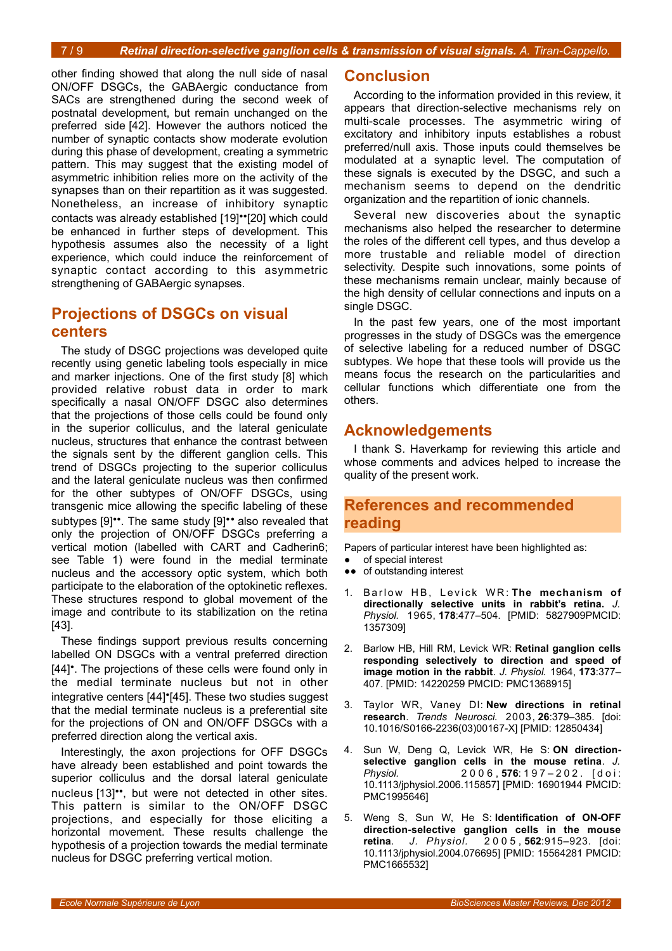other finding showed that along the null side of nasal ON/OFF DSGCs, the GABAergic conductance from SACs are strengthened during the second week of postnatal development, but remain unchanged on the preferred side [42]. However the authors noticed the number of synaptic contacts show moderate evolution during this phase of development, creating a symmetric pattern. This may suggest that the existing model of asymmetric inhibition relies more on the activity of the synapses than on their repartition as it was suggested. Nonetheless, an increase of inhibitory synaptic contacts was already established [19]••[20] which could be enhanced in further steps of development. This hypothesis assumes also the necessity of a light experience, which could induce the reinforcement of synaptic contact according to this asymmetric strengthening of GABAergic synapses.

# **Projections of DSGCs on visual centers**

The study of DSGC projections was developed quite recently using genetic labeling tools especially in mice and marker injections. One of the first study [8] which provided relative robust data in order to mark specifically a nasal ON/OFF DSGC also determines that the projections of those cells could be found only in the superior colliculus, and the lateral geniculate nucleus, structures that enhance the contrast between the signals sent by the different ganglion cells. This trend of DSGCs projecting to the superior colliculus and the lateral geniculate nucleus was then confirmed for the other subtypes of ON/OFF DSGCs, using transgenic mice allowing the specific labeling of these subtypes [9]<sup>\*\*</sup>. The same study [9]\*\* also revealed that only the projection of ON/OFF DSGCs preferring a vertical motion (labelled with CART and Cadherin6; see Table 1) were found in the medial terminate nucleus and the accessory optic system, which both participate to the elaboration of the optokinetic reflexes. These structures respond to global movement of the image and contribute to its stabilization on the retina [43].

These findings support previous results concerning labelled ON DSGCs with a ventral preferred direction [44]•. The projections of these cells were found only in the medial terminate nucleus but not in other integrative centers [44]•[45]. These two studies suggest that the medial terminate nucleus is a preferential site for the projections of ON and ON/OFF DSGCs with a preferred direction along the vertical axis.

Interestingly, the axon projections for OFF DSGCs have already been established and point towards the superior colliculus and the dorsal lateral geniculate nucleus [13]\*\*, but were not detected in other sites. This pattern is similar to the ON/OFF DSGC projections, and especially for those eliciting a horizontal movement. These results challenge the hypothesis of a projection towards the medial terminate nucleus for DSGC preferring vertical motion.

### **Conclusion**

According to the information provided in this review, it appears that direction-selective mechanisms rely on multi-scale processes. The asymmetric wiring of excitatory and inhibitory inputs establishes a robust preferred/null axis. Those inputs could themselves be modulated at a synaptic level. The computation of these signals is executed by the DSGC, and such a mechanism seems to depend on the dendritic organization and the repartition of ionic channels.

Several new discoveries about the synaptic mechanisms also helped the researcher to determine the roles of the different cell types, and thus develop a more trustable and reliable model of direction selectivity. Despite such innovations, some points of these mechanisms remain unclear, mainly because of the high density of cellular connections and inputs on a single DSGC.

In the past few years, one of the most important progresses in the study of DSGCs was the emergence of selective labeling for a reduced number of DSGC subtypes. We hope that these tools will provide us the means focus the research on the particularities and cellular functions which differentiate one from the others.

# **Acknowledgements**

I thank S. Haverkamp for reviewing this article and whose comments and advices helped to increase the quality of the present work.

## **References and recommended reading**

Papers of particular interest have been highlighted as:

- of special interest
- ●● of outstanding interest
- 1. Barlow HB, Levick WR: The mechanism of **directionally selective units in rabbit's retina.** *J. Physiol.* 1965, **178**:477–504. [PMID: 5827909PMCID: 1357309]
- 2. Barlow HB, Hill RM, Levick WR: **Retinal ganglion cells responding selectively to direction and speed of image motion in the rabbit**. *J. Physiol.* 1964, **173**:377– 407. [PMID: 14220259 PMCID: PMC1368915]
- 3. Taylor WR, Vaney DI: **New directions in retinal research**. *Trends Neurosci.* 2003, **26**:379–385. [doi: 10.1016/S0166-2236(03)00167-X] [PMID: 12850434]
- 4. Sun W, Deng Q, Levick WR, He S: **ON directionselective ganglion cells in the mouse retina**. *J. Physiol.* 2 0 0 6 , **576**: 1 9 7 – 2 0 2 . [ d o i : 10.1113/jphysiol.2006.115857] [PMID: 16901944 PMCID: PMC1995646]
- 5. Weng S, Sun W, He S: **Identification of ON-OFF direction-selective ganglion cells in the mouse retina**. *J. Physiol.* 2 0 0 5 , **562**:915–923. [doi: 10.1113/jphysiol.2004.076695] [PMID: 15564281 PMCID: PMC1665532]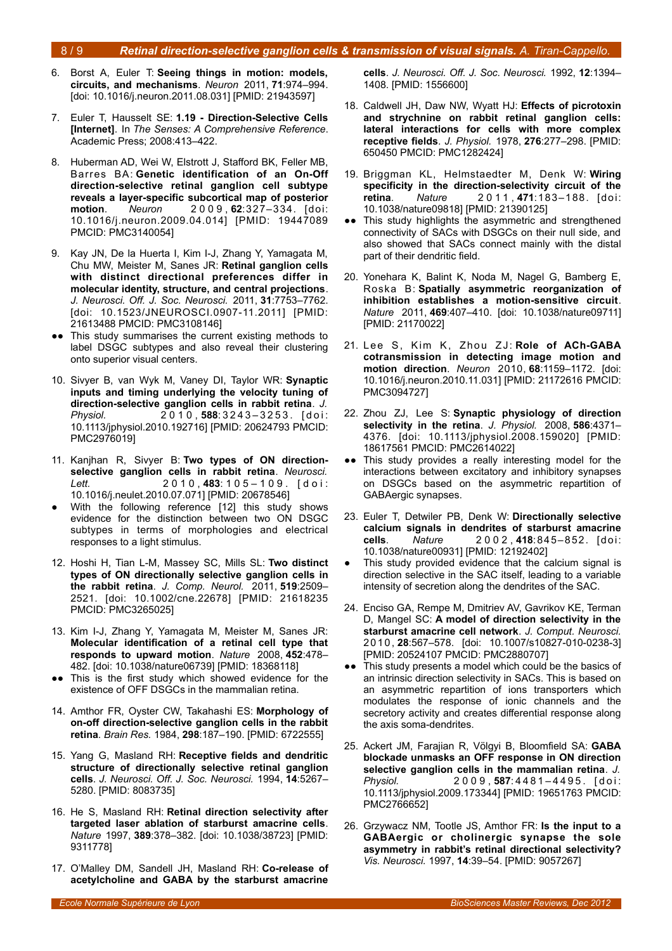- 6. Borst A, Euler T: **Seeing things in motion: models, circuits, and mechanisms**. *Neuron* 2011, **71**:974–994. [doi: 10.1016/j.neuron.2011.08.031] [PMID: 21943597]
- 7. Euler T, Hausselt SE: **1.19 Direction-Selective Cells [Internet]**. In *The Senses: A Comprehensive Reference*. Academic Press; 2008:413–422.
- 8. Huberman AD, Wei W, Elstrott J, Stafford BK, Feller MB, Barres BA: **Genetic identification of an On-Off direction-selective retinal ganglion cell subtype reveals a layer-specific subcortical map of posterior motion**. *Neuron* 2 0 0 9 , **62**:327–334. [doi: 10.1016/j.neuron.2009.04.014] [PMID: 19447089 PMCID: PMC3140054]
- 9. Kay JN, De la Huerta I, Kim I-J, Zhang Y, Yamagata M, Chu MW, Meister M, Sanes JR: **Retinal ganglion cells with distinct directional preferences differ in molecular identity, structure, and central projections**. *J. Neurosci. Off. J. Soc. Neurosci.* 2011, **31**:7753–7762. [doi: 10.1523/JNEUROSCI.0907-11.2011] [PMID: 21613488 PMCID: PMC3108146]
- This study summarises the current existing methods to label DSGC subtypes and also reveal their clustering onto superior visual centers.
- 10. Sivyer B, van Wyk M, Vaney DI, Taylor WR: **Synaptic inputs and timing underlying the velocity tuning of direction-selective ganglion cells in rabbit retina**. *J. Physiol.* 2 0 1 0 , **588**: 3 2 4 3 – 3 2 5 3 . [ d o i : 10.1113/jphysiol.2010.192716] [PMID: 20624793 PMCID: PMC2976019]
- 11. Kanjhan R, Sivyer B: **Two types of ON directionselective ganglion cells in rabbit retina**. *Neurosci. Lett.* 2 0 1 0 , **483**: 1 0 5 – 1 0 9 . [ d o i : 10.1016/j.neulet.2010.07.071] [PMID: 20678546]
- With the following reference [12] this study shows evidence for the distinction between two ON DSGC subtypes in terms of morphologies and electrical responses to a light stimulus.
- 12. Hoshi H, Tian L-M, Massey SC, Mills SL: **Two distinct types of ON directionally selective ganglion cells in the rabbit retina**. *J. Comp. Neurol.* 2011, **519**:2509– 2521. [doi: 10.1002/cne.22678] [PMID: 21618235 PMCID: PMC3265025]
- 13. Kim I-J, Zhang Y, Yamagata M, Meister M, Sanes JR: **Molecular identification of a retinal cell type that responds to upward motion**. *Nature* 2008, **452**:478– 482. [doi: 10.1038/nature06739] [PMID: 18368118]
- This is the first study which showed evidence for the existence of OFF DSGCs in the mammalian retina.
- 14. Amthor FR, Oyster CW, Takahashi ES: **Morphology of on-off direction-selective ganglion cells in the rabbit retina**. *Brain Res.* 1984, **298**:187–190. [PMID: 6722555]
- 15. Yang G, Masland RH: **Receptive fields and dendritic structure of directionally selective retinal ganglion cells**. *J. Neurosci. Off. J. Soc. Neurosci.* 1994, **14**:5267– 5280. [PMID: 8083735]
- 16. He S, Masland RH: **Retinal direction selectivity after targeted laser ablation of starburst amacrine cells**. *Nature* 1997, **389**:378–382. [doi: 10.1038/38723] [PMID: 9311778]
- 17. O'Malley DM, Sandell JH, Masland RH: **Co-release of acetylcholine and GABA by the starburst amacrine**

**cells**. *J. Neurosci. Off. J. Soc. Neurosci.* 1992, **12**:1394– 1408. [PMID: 1556600]

- 18. Caldwell JH, Daw NW, Wyatt HJ: **Effects of picrotoxin and strychnine on rabbit retinal ganglion cells: lateral interactions for cells with more complex receptive fields**. *J. Physiol.* 1978, **276**:277–298. [PMID: 650450 PMCID: PMC1282424]
- 19. Briggman KL, Helmstaedter M, Denk W: **Wiring specificity in the direction-selectivity circuit of the retina**. *Nature* 2 0 1 1 , **471**:183–188. [doi: 10.1038/nature09818] [PMID: 21390125]
- •• This study highlights the asymmetric and strengthened connectivity of SACs with DSGCs on their null side, and also showed that SACs connect mainly with the distal part of their dendritic field.
- 20. Yonehara K, Balint K, Noda M, Nagel G, Bamberg E, Roska B: **Spatially asymmetric reorganization of inhibition establishes a motion-sensitive circuit**. *Nature* 2011, **469**:407–410. [doi: 10.1038/nature09711] [PMID: 21170022]
- 21. Lee S, Kim K, Zhou ZJ: Role of ACh-GABA **cotransmission in detecting image motion and motion direction**. *Neuron* 2010, **68**:1159–1172. [doi: 10.1016/j.neuron.2010.11.031] [PMID: 21172616 PMCID: PMC3094727]
- 22. Zhou ZJ, Lee S: **Synaptic physiology of direction selectivity in the retina**. *J. Physiol.* 2008, **586**:4371– 4376. [doi: 10.1113/jphysiol.2008.159020] [PMID: 18617561 PMCID: PMC2614022]
- ●● This study provides a really interesting model for the interactions between excitatory and inhibitory synapses on DSGCs based on the asymmetric repartition of GABAergic synapses.
- 23. Euler T, Detwiler PB, Denk W: **Directionally selective calcium signals in dendrites of starburst amacrine cells**. *Nature* 2 0 0 2 , **418**:845–852. [doi: 10.1038/nature00931] [PMID: 12192402]
- This study provided evidence that the calcium signal is direction selective in the SAC itself, leading to a variable intensity of secretion along the dendrites of the SAC.
- 24. Enciso GA, Rempe M, Dmitriev AV, Gavrikov KE, Terman D, Mangel SC: **A model of direction selectivity in the starburst amacrine cell network**. *J. Comput. Neurosci.* 20 1 0, **28**:567–578. [doi: 10.1007/s10827-010-0238-3] [PMID: 20524107 PMCID: PMC2880707]
- ●● This study presents a model which could be the basics of an intrinsic direction selectivity in SACs. This is based on an asymmetric repartition of ions transporters which modulates the response of ionic channels and the secretory activity and creates differential response along the axis soma-dendrites.
- 25. Ackert JM, Farajian R, Völgyi B, Bloomfield SA: **GABA blockade unmasks an OFF response in ON direction selective ganglion cells in the mammalian retina**. *J. Physiol.* 2 0 0 9 , **587**: 4 4 8 1 – 4 4 9 5 . [ d o i : 10.1113/jphysiol.2009.173344] [PMID: 19651763 PMCID: PMC2766652]
- 26. Grzywacz NM, Tootle JS, Amthor FR: **Is the input to a GABAergic or cholinergic synapse the sole asymmetry in rabbit's retinal directional selectivity?** *Vis. Neurosci.* 1997, **14**:39–54. [PMID: 9057267]